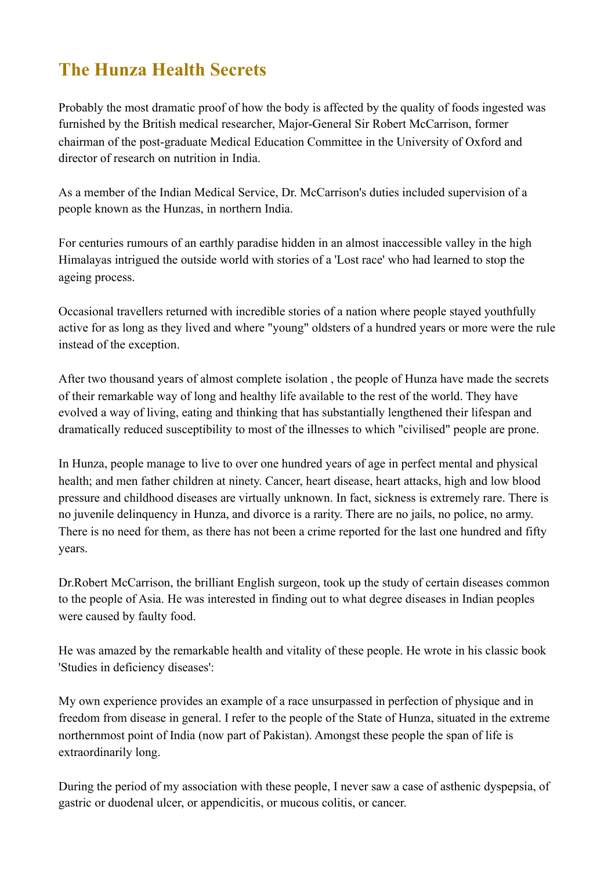## **The Hunza Health Secrets**

Probably the most dramatic proof of how the body is affected by the quality of foods ingested was furnished by the British medical researcher, Major-General Sir Robert McCarrison, former chairman of the post-graduate Medical Education Committee in the University of Oxford and director of research on nutrition in India.

As a member of the Indian Medical Service, Dr. McCarrison's duties included supervision of a people known as the Hunzas, in northern India.

For centuries rumours of an earthly paradise hidden in an almost inaccessible valley in the high Himalayas intrigued the outside world with stories of a 'Lost race' who had learned to stop the ageing process.

Occasional travellers returned with incredible stories of a nation where people stayed youthfully active for as long as they lived and where "young" oldsters of a hundred years or more were the rule instead of the exception.

After two thousand years of almost complete isolation , the people of Hunza have made the secrets of their remarkable way of long and healthy life available to the rest of the world. They have evolved a way of living, eating and thinking that has substantially lengthened their lifespan and dramatically reduced susceptibility to most of the illnesses to which "civilised" people are prone.

In Hunza, people manage to live to over one hundred years of age in perfect mental and physical health; and men father children at ninety. Cancer, heart disease, heart attacks, high and low blood pressure and childhood diseases are virtually unknown. In fact, sickness is extremely rare. There is no juvenile delinquency in Hunza, and divorce is a rarity. There are no jails, no police, no army. There is no need for them, as there has not been a crime reported for the last one hundred and fifty years.

Dr.Robert McCarrison, the brilliant English surgeon, took up the study of certain diseases common to the people of Asia. He was interested in finding out to what degree diseases in Indian peoples were caused by faulty food.

He was amazed by the remarkable health and vitality of these people. He wrote in his classic book 'Studies in deficiency diseases':

My own experience provides an example of a race unsurpassed in perfection of physique and in freedom from disease in general. I refer to the people of the State of Hunza, situated in the extreme northernmost point of India (now part of Pakistan). Amongst these people the span of life is extraordinarily long.

During the period of my association with these people, I never saw a case of asthenic dyspepsia, of gastric or duodenal ulcer, or appendicitis, or mucous colitis, or cancer.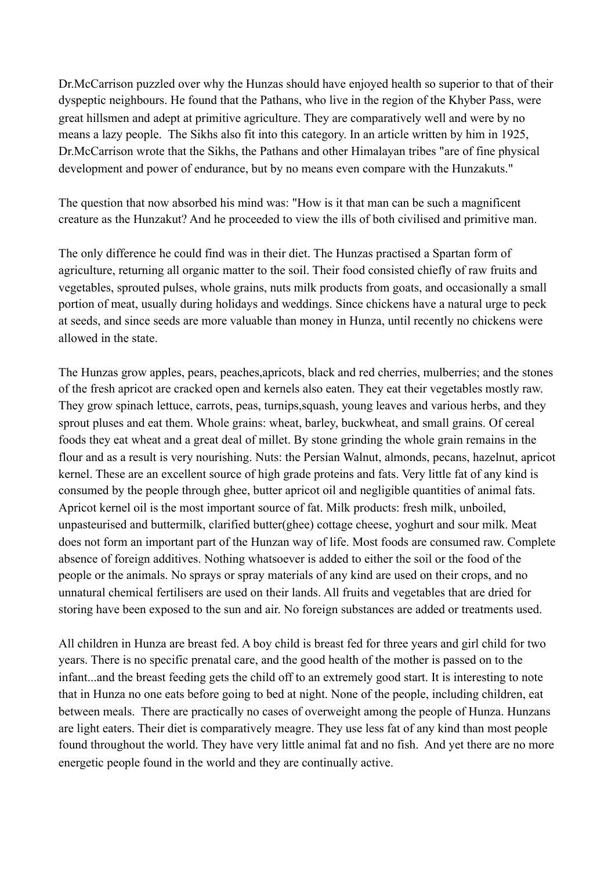Dr.McCarrison puzzled over why the Hunzas should have enjoyed health so superior to that of their dyspeptic neighbours. He found that the Pathans, who live in the region of the Khyber Pass, were great hillsmen and adept at primitive agriculture. They are comparatively well and were by no means a lazy people. The Sikhs also fit into this category. In an article written by him in 1925, Dr.McCarrison wrote that the Sikhs, the Pathans and other Himalayan tribes "are of fine physical development and power of endurance, but by no means even compare with the Hunzakuts."

The question that now absorbed his mind was: "How is it that man can be such a magnificent creature as the Hunzakut? And he proceeded to view the ills of both civilised and primitive man.

The only difference he could find was in their diet. The Hunzas practised a Spartan form of agriculture, returning all organic matter to the soil. Their food consisted chiefly of raw fruits and vegetables, sprouted pulses, whole grains, nuts milk products from goats, and occasionally a small portion of meat, usually during holidays and weddings. Since chickens have a natural urge to peck at seeds, and since seeds are more valuable than money in Hunza, until recently no chickens were allowed in the state.

The Hunzas grow apples, pears, peaches,apricots, black and red cherries, mulberries; and the stones of the fresh apricot are cracked open and kernels also eaten. They eat their vegetables mostly raw. They grow spinach lettuce, carrots, peas, turnips,squash, young leaves and various herbs, and they sprout pluses and eat them. Whole grains: wheat, barley, buckwheat, and small grains. Of cereal foods they eat wheat and a great deal of millet. By stone grinding the whole grain remains in the flour and as a result is very nourishing. Nuts: the Persian Walnut, almonds, pecans, hazelnut, apricot kernel. These are an excellent source of high grade proteins and fats. Very little fat of any kind is consumed by the people through ghee, butter apricot oil and negligible quantities of animal fats. Apricot kernel oil is the most important source of fat. Milk products: fresh milk, unboiled, unpasteurised and buttermilk, clarified butter(ghee) cottage cheese, yoghurt and sour milk. Meat does not form an important part of the Hunzan way of life. Most foods are consumed raw. Complete absence of foreign additives. Nothing whatsoever is added to either the soil or the food of the people or the animals. No sprays or spray materials of any kind are used on their crops, and no unnatural chemical fertilisers are used on their lands. All fruits and vegetables that are dried for storing have been exposed to the sun and air. No foreign substances are added or treatments used.

All children in Hunza are breast fed. A boy child is breast fed for three years and girl child for two years. There is no specific prenatal care, and the good health of the mother is passed on to the infant...and the breast feeding gets the child off to an extremely good start. It is interesting to note that in Hunza no one eats before going to bed at night. None of the people, including children, eat between meals. There are practically no cases of overweight among the people of Hunza. Hunzans are light eaters. Their diet is comparatively meagre. They use less fat of any kind than most people found throughout the world. They have very little animal fat and no fish. And yet there are no more energetic people found in the world and they are continually active.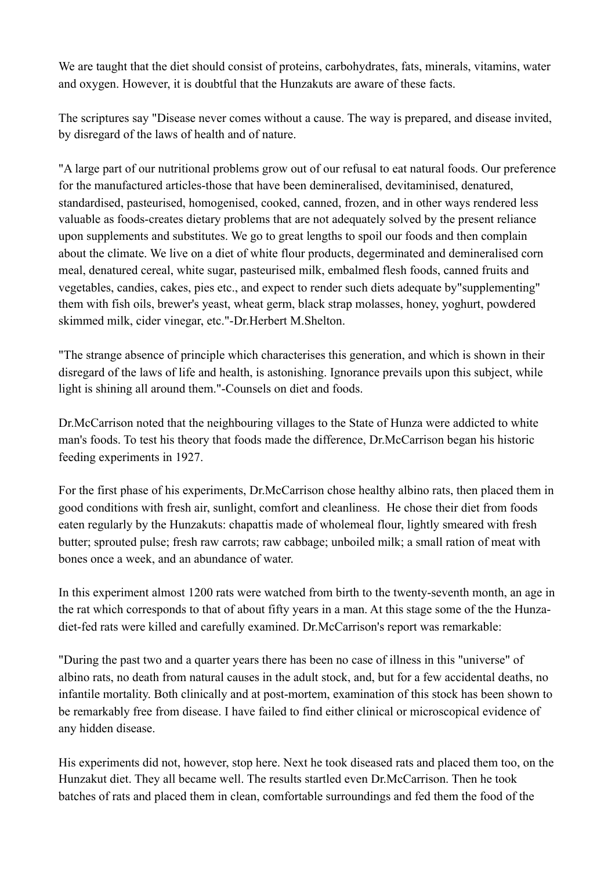We are taught that the diet should consist of proteins, carbohydrates, fats, minerals, vitamins, water and oxygen. However, it is doubtful that the Hunzakuts are aware of these facts.

The scriptures say "Disease never comes without a cause. The way is prepared, and disease invited, by disregard of the laws of health and of nature.

"A large part of our nutritional problems grow out of our refusal to eat natural foods. Our preference for the manufactured articles-those that have been demineralised, devitaminised, denatured, standardised, pasteurised, homogenised, cooked, canned, frozen, and in other ways rendered less valuable as foods-creates dietary problems that are not adequately solved by the present reliance upon supplements and substitutes. We go to great lengths to spoil our foods and then complain about the climate. We live on a diet of white flour products, degerminated and demineralised corn meal, denatured cereal, white sugar, pasteurised milk, embalmed flesh foods, canned fruits and vegetables, candies, cakes, pies etc., and expect to render such diets adequate by"supplementing" them with fish oils, brewer's yeast, wheat germ, black strap molasses, honey, yoghurt, powdered skimmed milk, cider vinegar, etc."-Dr.Herbert M.Shelton.

"The strange absence of principle which characterises this generation, and which is shown in their disregard of the laws of life and health, is astonishing. Ignorance prevails upon this subject, while light is shining all around them."-Counsels on diet and foods.

Dr.McCarrison noted that the neighbouring villages to the State of Hunza were addicted to white man's foods. To test his theory that foods made the difference, Dr.McCarrison began his historic feeding experiments in 1927.

For the first phase of his experiments, Dr.McCarrison chose healthy albino rats, then placed them in good conditions with fresh air, sunlight, comfort and cleanliness. He chose their diet from foods eaten regularly by the Hunzakuts: chapattis made of wholemeal flour, lightly smeared with fresh butter; sprouted pulse; fresh raw carrots; raw cabbage; unboiled milk; a small ration of meat with bones once a week, and an abundance of water.

In this experiment almost 1200 rats were watched from birth to the twenty-seventh month, an age in the rat which corresponds to that of about fifty years in a man. At this stage some of the the Hunzadiet-fed rats were killed and carefully examined. Dr.McCarrison's report was remarkable:

"During the past two and a quarter years there has been no case of illness in this "universe" of albino rats, no death from natural causes in the adult stock, and, but for a few accidental deaths, no infantile mortality. Both clinically and at post-mortem, examination of this stock has been shown to be remarkably free from disease. I have failed to find either clinical or microscopical evidence of any hidden disease.

His experiments did not, however, stop here. Next he took diseased rats and placed them too, on the Hunzakut diet. They all became well. The results startled even Dr.McCarrison. Then he took batches of rats and placed them in clean, comfortable surroundings and fed them the food of the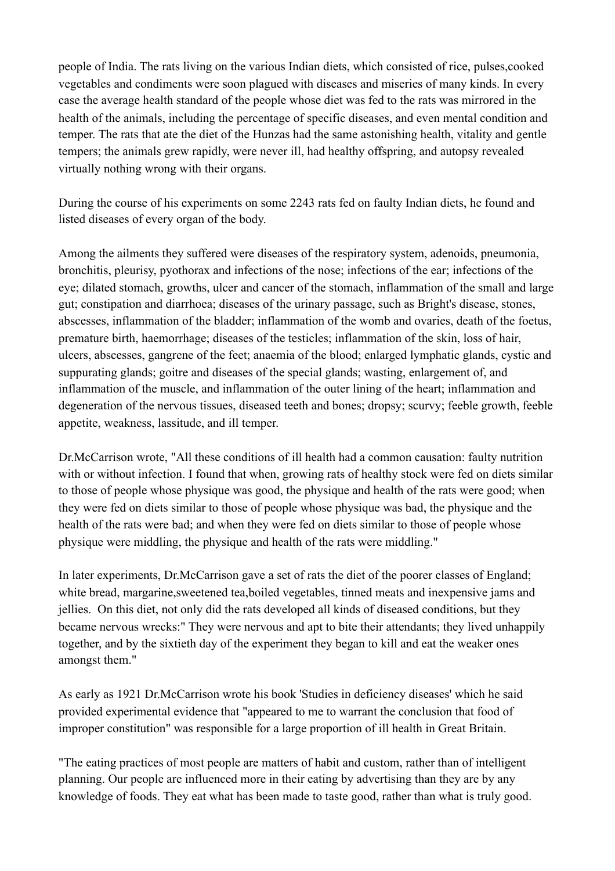people of India. The rats living on the various Indian diets, which consisted of rice, pulses,cooked vegetables and condiments were soon plagued with diseases and miseries of many kinds. In every case the average health standard of the people whose diet was fed to the rats was mirrored in the health of the animals, including the percentage of specific diseases, and even mental condition and temper. The rats that ate the diet of the Hunzas had the same astonishing health, vitality and gentle tempers; the animals grew rapidly, were never ill, had healthy offspring, and autopsy revealed virtually nothing wrong with their organs.

During the course of his experiments on some 2243 rats fed on faulty Indian diets, he found and listed diseases of every organ of the body.

Among the ailments they suffered were diseases of the respiratory system, adenoids, pneumonia, bronchitis, pleurisy, pyothorax and infections of the nose; infections of the ear; infections of the eye; dilated stomach, growths, ulcer and cancer of the stomach, inflammation of the small and large gut; constipation and diarrhoea; diseases of the urinary passage, such as Bright's disease, stones, abscesses, inflammation of the bladder; inflammation of the womb and ovaries, death of the foetus, premature birth, haemorrhage; diseases of the testicles; inflammation of the skin, loss of hair, ulcers, abscesses, gangrene of the feet; anaemia of the blood; enlarged lymphatic glands, cystic and suppurating glands; goitre and diseases of the special glands; wasting, enlargement of, and inflammation of the muscle, and inflammation of the outer lining of the heart; inflammation and degeneration of the nervous tissues, diseased teeth and bones; dropsy; scurvy; feeble growth, feeble appetite, weakness, lassitude, and ill temper.

Dr.McCarrison wrote, "All these conditions of ill health had a common causation: faulty nutrition with or without infection. I found that when, growing rats of healthy stock were fed on diets similar to those of people whose physique was good, the physique and health of the rats were good; when they were fed on diets similar to those of people whose physique was bad, the physique and the health of the rats were bad; and when they were fed on diets similar to those of people whose physique were middling, the physique and health of the rats were middling."

In later experiments, Dr.McCarrison gave a set of rats the diet of the poorer classes of England; white bread, margarine,sweetened tea,boiled vegetables, tinned meats and inexpensive jams and jellies. On this diet, not only did the rats developed all kinds of diseased conditions, but they became nervous wrecks:" They were nervous and apt to bite their attendants; they lived unhappily together, and by the sixtieth day of the experiment they began to kill and eat the weaker ones amongst them."

As early as 1921 Dr.McCarrison wrote his book 'Studies in deficiency diseases' which he said provided experimental evidence that "appeared to me to warrant the conclusion that food of improper constitution" was responsible for a large proportion of ill health in Great Britain.

"The eating practices of most people are matters of habit and custom, rather than of intelligent planning. Our people are influenced more in their eating by advertising than they are by any knowledge of foods. They eat what has been made to taste good, rather than what is truly good.